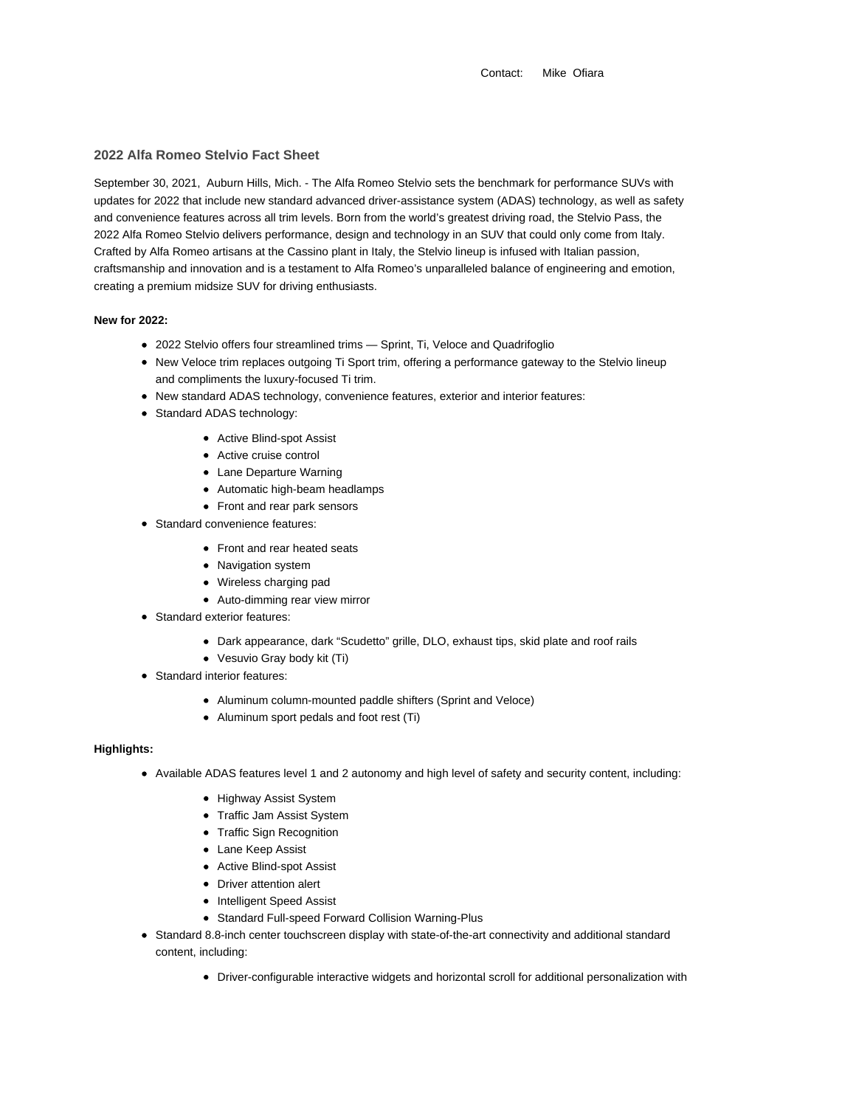Contact: Mike Ofiara

# **2022 Alfa Romeo Stelvio Fact Sheet**

September 30, 2021, Auburn Hills, Mich. - The Alfa Romeo Stelvio sets the benchmark for performance SUVs with updates for 2022 that include new standard advanced driver-assistance system (ADAS) technology, as well as safety and convenience features across all trim levels. Born from the world's greatest driving road, the Stelvio Pass, the 2022 Alfa Romeo Stelvio delivers performance, design and technology in an SUV that could only come from Italy. Crafted by Alfa Romeo artisans at the Cassino plant in Italy, the Stelvio lineup is infused with Italian passion, craftsmanship and innovation and is a testament to Alfa Romeo's unparalleled balance of engineering and emotion, creating a premium midsize SUV for driving enthusiasts.

## **New for 2022:**

- 2022 Stelvio offers four streamlined trims Sprint, Ti, Veloce and Quadrifoglio
- New Veloce trim replaces outgoing Ti Sport trim, offering a performance gateway to the Stelvio lineup and compliments the luxury-focused Ti trim.
- New standard ADAS technology, convenience features, exterior and interior features:
- Standard ADAS technology:
	- Active Blind-spot Assist
	- Active cruise control
	- Lane Departure Warning
	- Automatic high-beam headlamps
	- Front and rear park sensors
- Standard convenience features:
	- Front and rear heated seats
	- Navigation system
	- Wireless charging pad
	- Auto-dimming rear view mirror
- Standard exterior features:
	- Dark appearance, dark "Scudetto" grille, DLO, exhaust tips, skid plate and roof rails
	- Vesuvio Gray body kit (Ti)
- Standard interior features:
	- Aluminum column-mounted paddle shifters (Sprint and Veloce)
	- Aluminum sport pedals and foot rest (Ti)

## **Highlights:**

- Available ADAS features level 1 and 2 autonomy and high level of safety and security content, including:
	- Highway Assist System
	- Traffic Jam Assist System
	- Traffic Sign Recognition
	- Lane Keep Assist
	- Active Blind-spot Assist
	- Driver attention alert
	- Intelligent Speed Assist
	- Standard Full-speed Forward Collision Warning-Plus
- Standard 8.8-inch center touchscreen display with state-of-the-art connectivity and additional standard content, including:
	- Driver-configurable interactive widgets and horizontal scroll for additional personalization with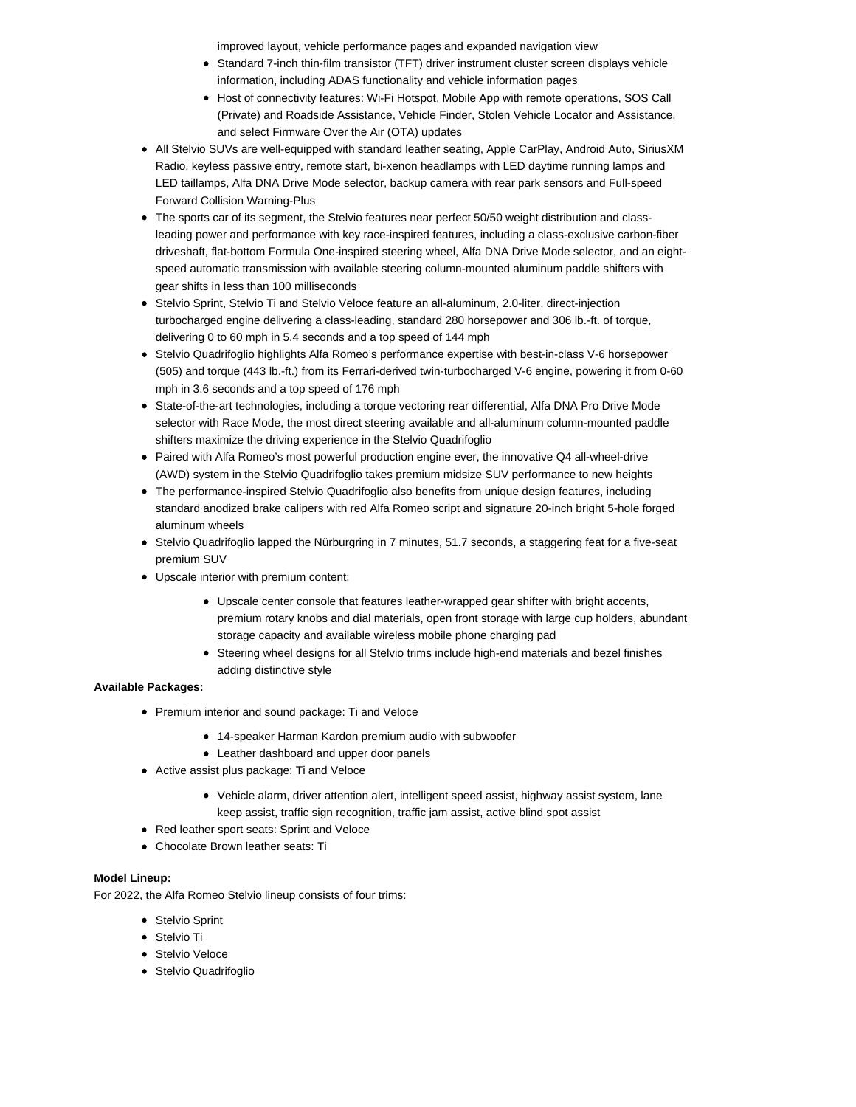improved layout, vehicle performance pages and expanded navigation view

- Standard 7-inch thin-film transistor (TFT) driver instrument cluster screen displays vehicle information, including ADAS functionality and vehicle information pages
- Host of connectivity features: Wi-Fi Hotspot, Mobile App with remote operations, SOS Call (Private) and Roadside Assistance, Vehicle Finder, Stolen Vehicle Locator and Assistance, and select Firmware Over the Air (OTA) updates
- All Stelvio SUVs are well-equipped with standard leather seating, Apple CarPlay, Android Auto, SiriusXM Radio, keyless passive entry, remote start, bi-xenon headlamps with LED daytime running lamps and LED taillamps, Alfa DNA Drive Mode selector, backup camera with rear park sensors and Full-speed Forward Collision Warning-Plus
- The sports car of its segment, the Stelvio features near perfect 50/50 weight distribution and classleading power and performance with key race-inspired features, including a class-exclusive carbon-fiber driveshaft, flat-bottom Formula One-inspired steering wheel, Alfa DNA Drive Mode selector, and an eightspeed automatic transmission with available steering column-mounted aluminum paddle shifters with gear shifts in less than 100 milliseconds
- Stelvio Sprint, Stelvio Ti and Stelvio Veloce feature an all-aluminum, 2.0-liter, direct-injection turbocharged engine delivering a class-leading, standard 280 horsepower and 306 lb.-ft. of torque, delivering 0 to 60 mph in 5.4 seconds and a top speed of 144 mph
- Stelvio Quadrifoglio highlights Alfa Romeo's performance expertise with best-in-class V-6 horsepower (505) and torque (443 lb.-ft.) from its Ferrari-derived twin-turbocharged V-6 engine, powering it from 0-60 mph in 3.6 seconds and a top speed of 176 mph
- State-of-the-art technologies, including a torque vectoring rear differential, Alfa DNA Pro Drive Mode selector with Race Mode, the most direct steering available and all-aluminum column-mounted paddle shifters maximize the driving experience in the Stelvio Quadrifoglio
- Paired with Alfa Romeo's most powerful production engine ever, the innovative Q4 all-wheel-drive (AWD) system in the Stelvio Quadrifoglio takes premium midsize SUV performance to new heights
- The performance-inspired Stelvio Quadrifoglio also benefits from unique design features, including standard anodized brake calipers with red Alfa Romeo script and signature 20-inch bright 5-hole forged aluminum wheels
- Stelvio Quadrifoglio lapped the Nürburgring in 7 minutes, 51.7 seconds, a staggering feat for a five-seat premium SUV
- Upscale interior with premium content:
	- Upscale center console that features leather-wrapped gear shifter with bright accents, premium rotary knobs and dial materials, open front storage with large cup holders, abundant storage capacity and available wireless mobile phone charging pad
	- Steering wheel designs for all Stelvio trims include high-end materials and bezel finishes adding distinctive style

## **Available Packages:**

- Premium interior and sound package: Ti and Veloce
	- 14-speaker Harman Kardon premium audio with subwoofer
	- Leather dashboard and upper door panels
- Active assist plus package: Ti and Veloce
	- Vehicle alarm, driver attention alert, intelligent speed assist, highway assist system, lane keep assist, traffic sign recognition, traffic jam assist, active blind spot assist
- Red leather sport seats: Sprint and Veloce
- Chocolate Brown leather seats: Ti

# **Model Lineup:**

For 2022, the Alfa Romeo Stelvio lineup consists of four trims:

- Stelvio Sprint
- **Stelvio Ti**
- Stelvio Veloce
- Stelvio Quadrifoglio